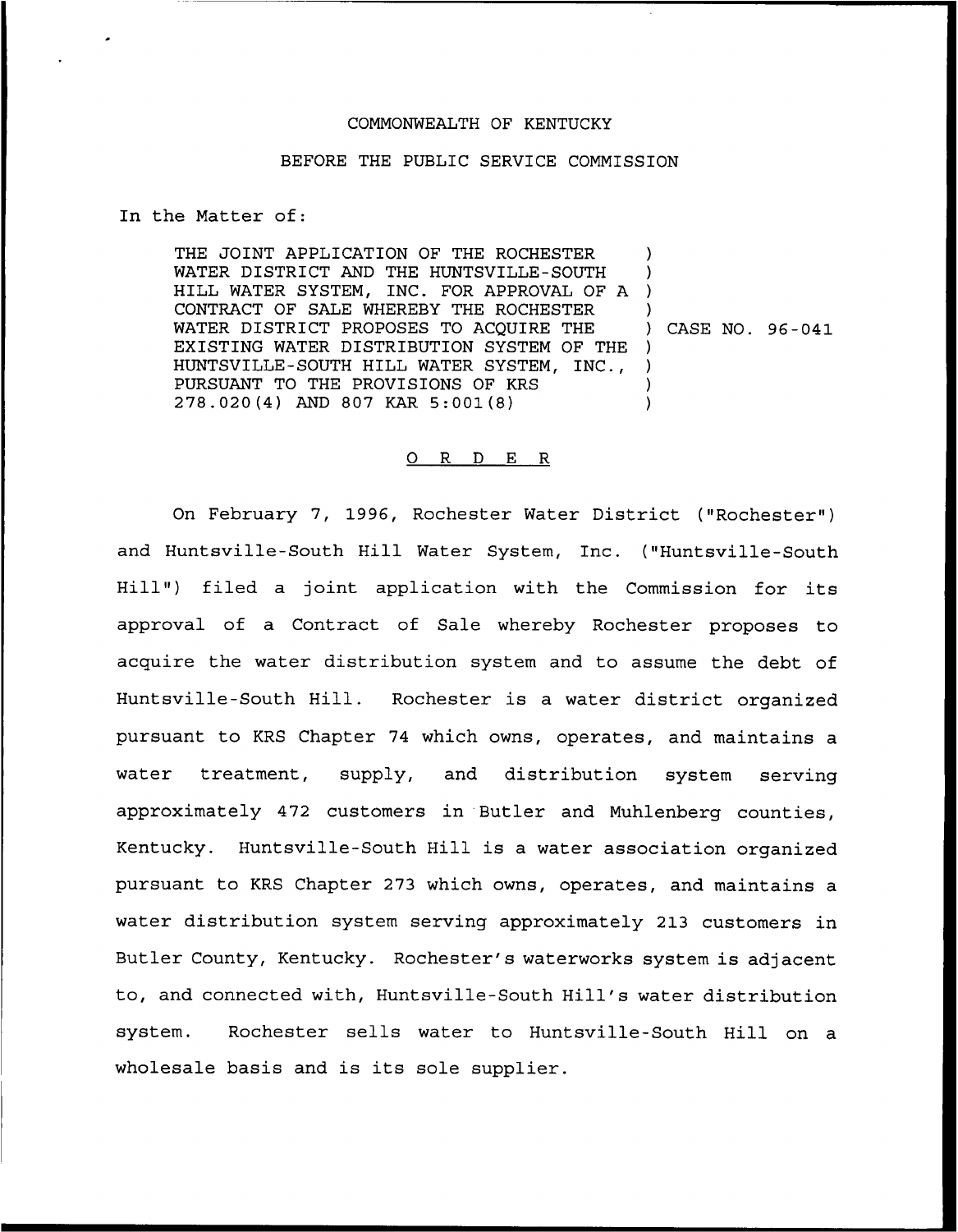## COMMONWEALTH OF KENTUCKY

## BEFORE THE PUBLIC SERVICE COMMISSION

In the Matter of:

THE JOINT APPLICATION OF THE ROCHESTER WATER DISTRICT AND THE HUNTSVILLE-SOUTH WAIER DISIRICI AND THE HONISVILLE-SOUTH AND THE HONISVILLE-SOUTH CONTRACT OF SALE WHEREBY THE ROCHESTER WATER DISTRICT PROPOSES TO ACOUIRE THE EXISTING WATER DISTRIBUTION SYSTEM OF THE ) HUNTSVILLE-SOUTH HILL WATER SYSTEM, INC., PURSUANT TO THE PROVISIONS OF KRS 278. 020 (4) AND 807 KAR 5:001 (8) )  $\overline{\phantom{a}}$ ) ) CASE NO. 96-041 ) ) )

## 0 R <sup>D</sup> E R

On February 7, 1996, Rochester Water District ("Rochester" ) and Huntsville-South Hill Water System, Inc. ("Huntsville-South Hill") filed a joint application with the Commission for its approval of a Contract of Sale whereby Rochester proposes to acquire the water distribution system and to assume the debt of Huntsville-South Hill. Rochester is a water district organized pursuant to KRS Chapter 74 which owns, operates, and maintains a water treatment, supply, and distribution system serving approximately 472 customers in Butler and Muhlenberg counties, Kentucky. Huntsville-South Hill is a water association organized pursuant to KRS Chapter 273 which owns, operates, and maintains a water distribution system serving approximately 213 customers in Butler County, Kentucky. Rochester's waterworks system is adjacent to, and connected with, Huntsville-South Hill\*s water distribution system. Rochester sells water to Huntsville-South Hill on a wholesale basis and is its sole supplier.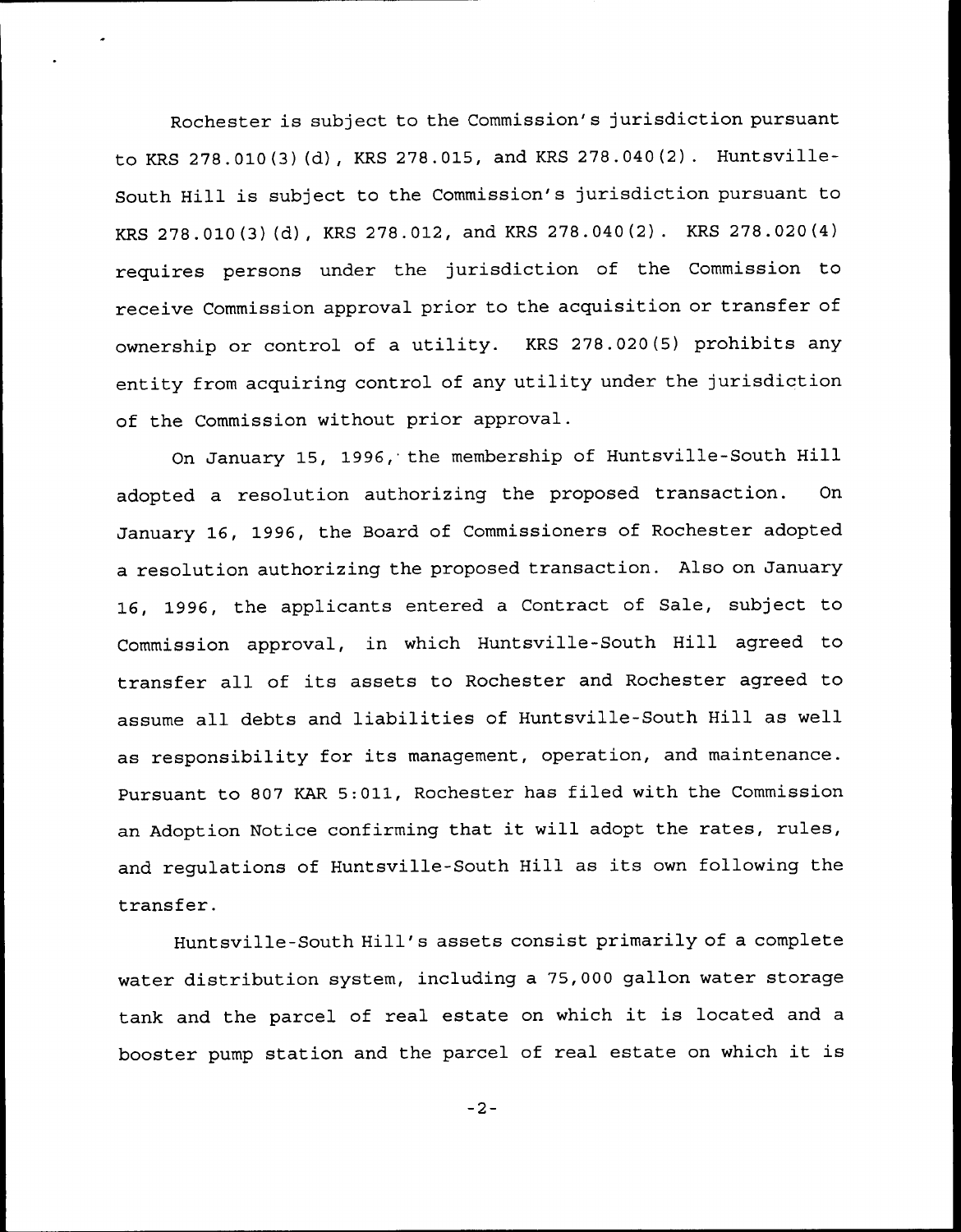Rochester is subject to the Commission's jurisdiction pursuant to KRS 278.010(3)(d), KRS 278.015, and KRS 278.040(2). Huntsville-South Hill is subject to the Commission's jurisdiction pursuant to KRS 278.010(3) (d), KRS 278.012, and KRS 278.040(2) . KRS 278.020(4) requires persons under the jurisdiction of the Commission to receive Commission approval prior to the acquisition or transfer of ownership or control of a utility. KRS 278.020(5) prohibits any entity from acquiring control of any utility under the jurisdiction of the Commission without prior approval.

On January 15, 1996, the membership of Huntsville-South Hill adopted a resolution authorizing the proposed transaction. On January 16, 1996, the Board of Commissioners of Rochester adopted a resolution authorizing the proposed transaction. Also on January 16, 1996, the applicants entered <sup>a</sup> Contract of Sale, subject to Commission approval, in which Huntsville-South Hill agreed to transfer all of its assets to Rochester and Rochester agreed to assume all debts and liabilities of Huntsville-South Hill as well as responsibility for its management, operation, and maintenance. Pursuant to 807 KAR 5:011, Rochester has filed with the Commission an Adoption Notice confirming that it will adopt the rates, rules, and regulations of Huntsville-South Hill as its own following the transfer.

Huntsville-South Hill's assets consist primarily of a complete water distribution system, including a 75,000 gallon water storage tank and the parcel of real estate on which it is located and <sup>a</sup> booster pump station and the parcel of real estate on which it is

 $-2-$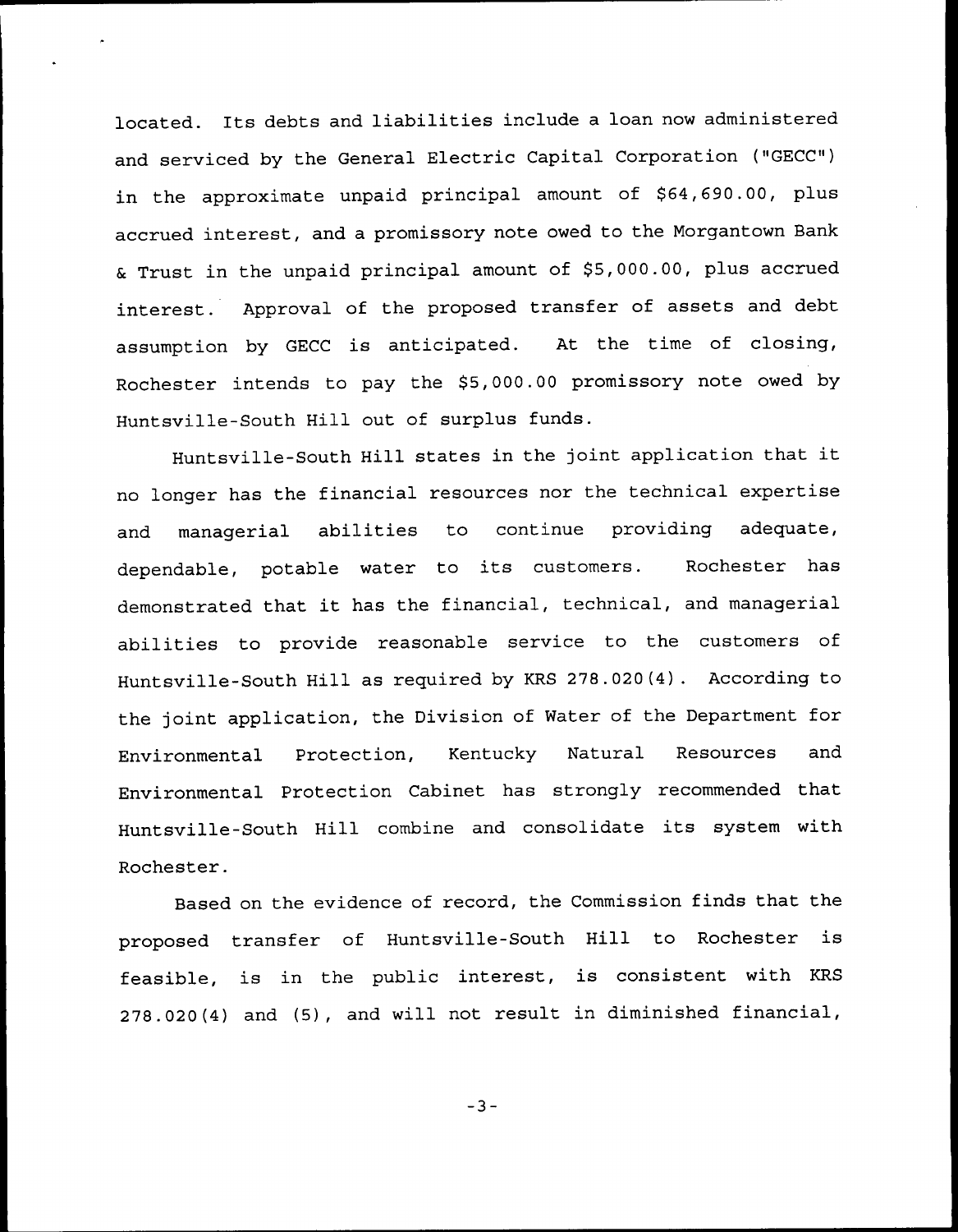located. Its debts and liabilities include <sup>a</sup> loan now administered and serviced by the General Electric Capital Corporation ("GECC") in the approximate unpaid principal amount of \$64,690.00, plus accrued interest, and a promissory note owed to the Morgantown Bank & Trust in the unpaid principal amount of \$5,000.00, plus accrued interest. Approval of the proposed transfer of assets and debt assumption by GECC is anticipated. At the time of closing, Rochester intends to pay the \$5,000.00 promissory note owed by Huntsville-South Hill out of surplus funds.

Huntsville-South Hill states in the joint application that it no longer has the financial resources nor the technical expertise and managerial abilities to continue providing adequate, dependable, potable water to its customers. Rochester has demonstrated that it has the financial, technical, and managerial abilities to provide reasonable service to the customers of Huntsville-South Hill as required by KRS 278.020(4). According to the joint application, the Division of Water of the Department for Environmental Protection, Kentucky Natural Resources and Environmental Protection Cabinet has strongly recommended that Huntsville-South Hill combine and consolidate its system with Rochester.

Based on the evidence of record, the Commission finds that the proposed transfer of Huntsville-South Hill to Rochester is feasible, is in the public interest, is consistent with KRS 278.020(4) and (5), and will not result in diminished financial,

$$
-3-
$$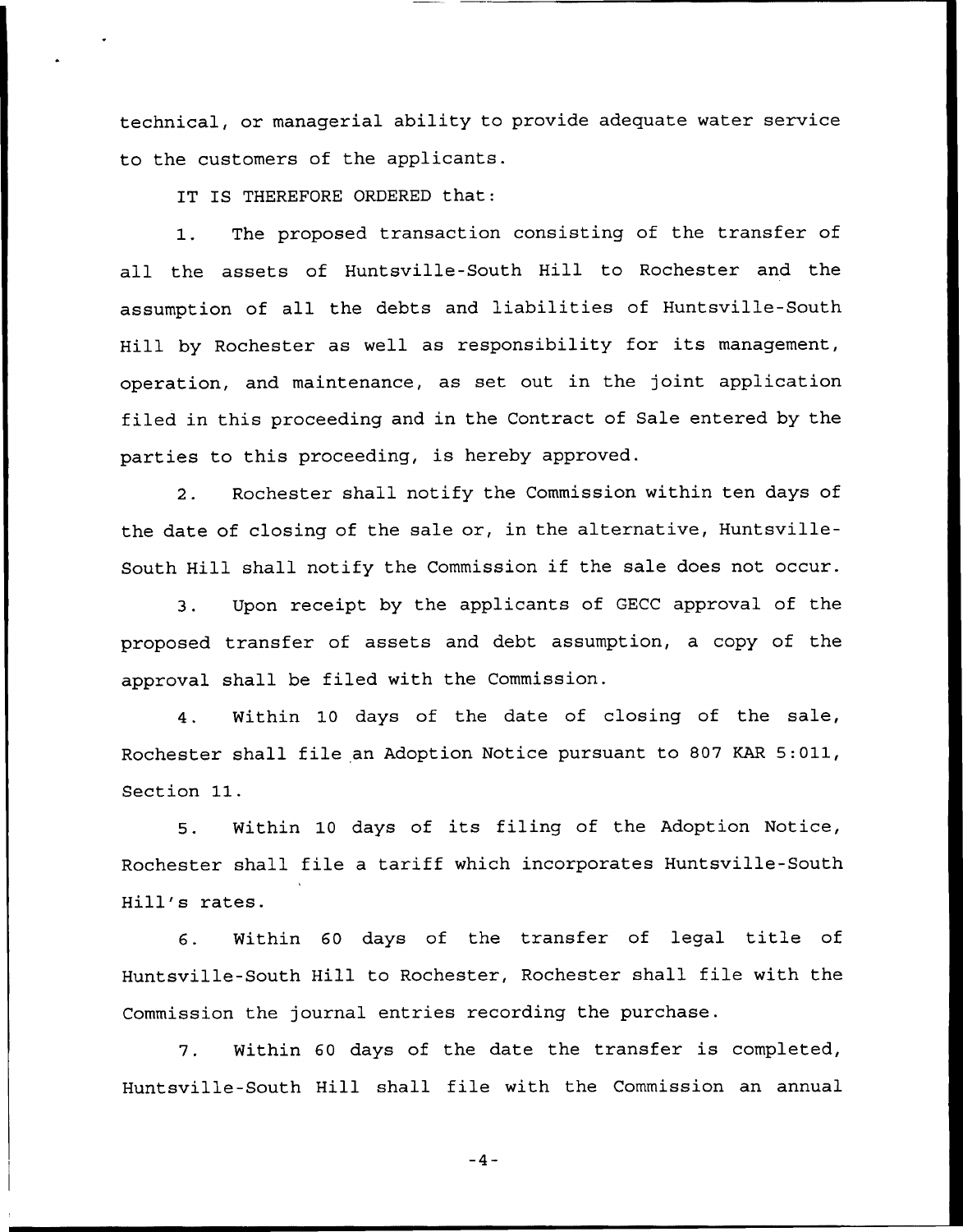technical, or managerial ability to provide adequate water service to the customers of the applicants.

IT IS THEREFORE ORDERED that:

1. The proposed transaction consisting of the transfer of all the assets of Huntsville-South Hill to Rochester and the assumption of all the debts and liabilities of Huntsville-South Hill by Rochester as well as responsibility for its management, operation, and maintenance, as set out in the joint application filed in this proceeding and in the Contract of Sale entered by the parties to this proceeding, is hereby approved.

2. Rochester shall notify the Commission within ten days of the date of closing of the sale or, in the alternative, Huntsville-South Hill shall notify the Commission if the sale does not occur.

3. Upon receipt by the applicants of GECC approval of the proposed transfer of assets and debt assumption, a copy of the approval shall be filed with the Commission.

4. Within 10 days of the date of closing of the sale, Rochester shall file an Adoption Notice pursuant to 807 KAR 5:011, Section 11.

5. Within 10 days of its filing of the Adoption Notice, Rochester shall file a tariff which incorporates Huntsville-South Hill's rates.

6. Within <sup>60</sup> days of the transfer of legal title of Huntsville-South Hill to Rochester, Rochester shall file with the Commission the journal entries recording the purchase.

7. Within <sup>60</sup> days of the date the transfer is completed, Huntsville-South Hill shall file with the Commission an annual

 $-4-$